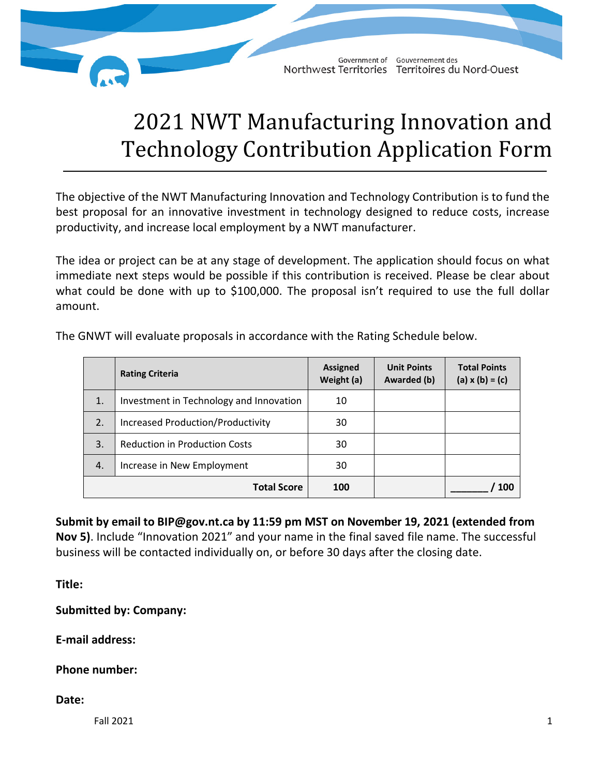

## 2021 NWT Manufacturing Innovation and Technology Contribution Application Form

The objective of the NWT Manufacturing Innovation and Technology Contribution is to fund the best proposal for an innovative investment in technology designed to reduce costs, increase productivity, and increase local employment by a NWT manufacturer.

The idea or project can be at any stage of development. The application should focus on what immediate next steps would be possible if this contribution is received. Please be clear about what could be done with up to \$100,000. The proposal isn't required to use the full dollar amount.

|                    | <b>Rating Criteria</b>                   | <b>Assigned</b><br>Weight (a) | <b>Unit Points</b><br>Awarded (b) | <b>Total Points</b><br>(a) $x(b) = (c)$ |
|--------------------|------------------------------------------|-------------------------------|-----------------------------------|-----------------------------------------|
| 1.                 | Investment in Technology and Innovation  | 10                            |                                   |                                         |
| 2.                 | <b>Increased Production/Productivity</b> | 30                            |                                   |                                         |
| 3.                 | <b>Reduction in Production Costs</b>     | 30                            |                                   |                                         |
| 4.                 | Increase in New Employment               | 30                            |                                   |                                         |
| <b>Total Score</b> |                                          | 100                           |                                   | 100                                     |

The GNWT will evaluate proposals in accordance with the Rating Schedule below.

**Submit by email to [BIP@gov.nt.ca](mailto:bip@gov.nt.ca) by 11:59 pm MST on November 19, 2021 (extended from Nov 5)**. Include "Innovation 2021" and your name in the final saved file name. The successful business will be contacted individually on, or before 30 days after the closing date.

**Title:** 

**Submitted by: Company:** 

**E-mail address:**

**Phone number:** 

**Date:**

 $\blacksquare$ Fall 2021  $\blacksquare$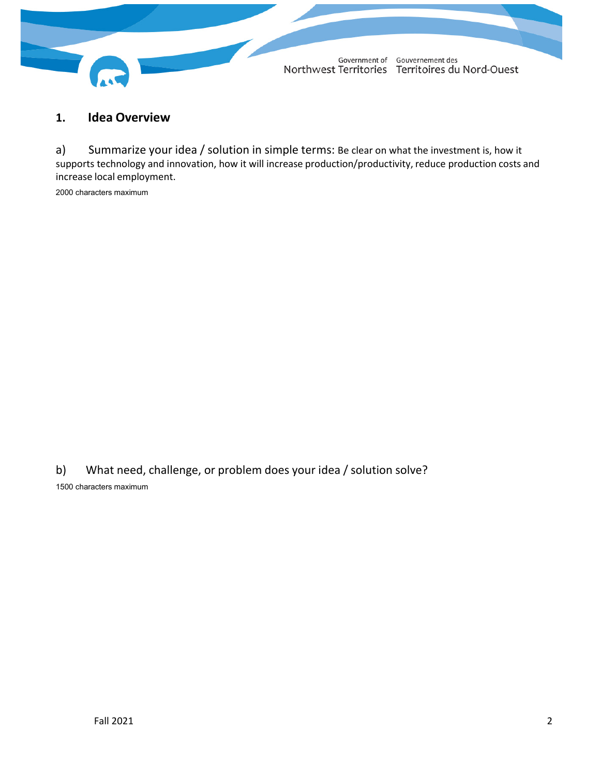

## **1. Idea Overview**

a) Summarize your idea / solution in simple terms: Be clear on what the investment is, how it supports technology and innovation, how it will increase production/productivity, reduce production costs and increase local employment.

2000 characters maximum

b) What need, challenge, or problem does your idea / solution solve? 1500 characters maximum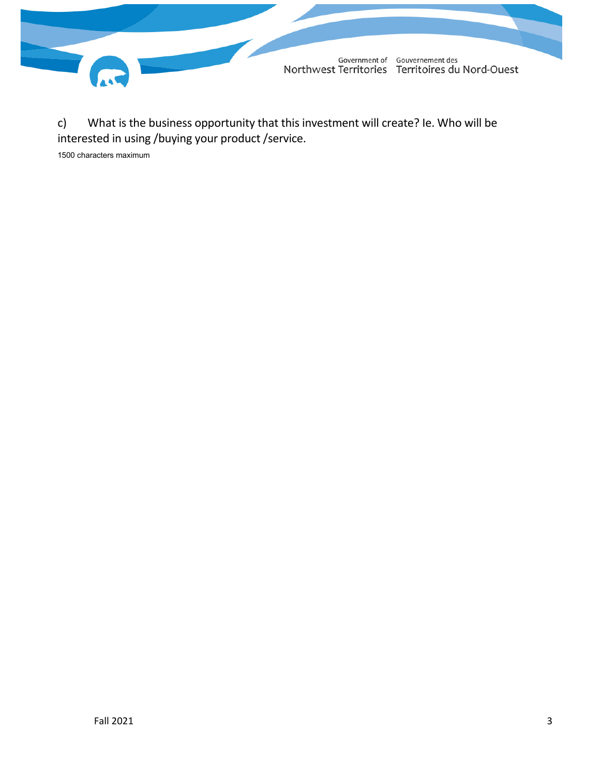

c) What is the business opportunity that this investment will create? Ie. Who will be interested in using /buying your product /service.

1500 characters maximum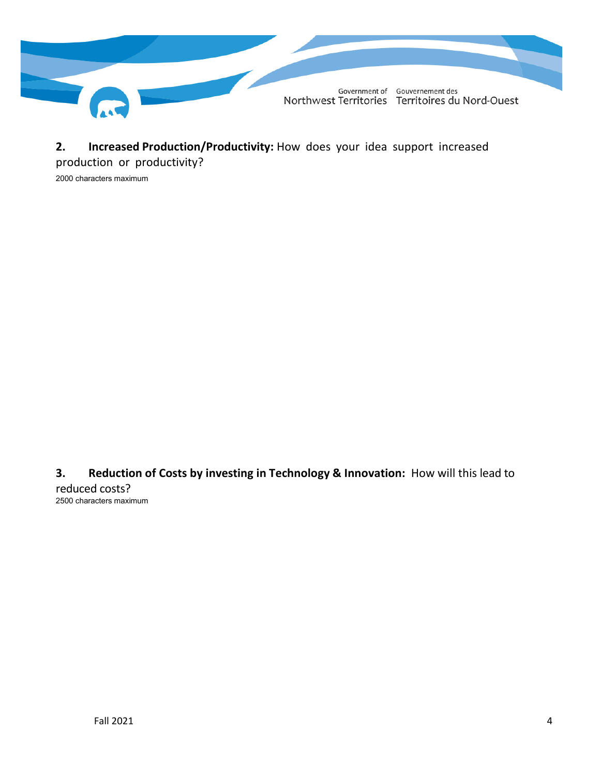

**2. Increased Production/Productivity:** How does your idea support increased

production or productivity?

2000 characters maximum

**3. Reduction of Costs by investing in Technology & Innovation:** How will this lead to reduced costs? 2500 characters maximum